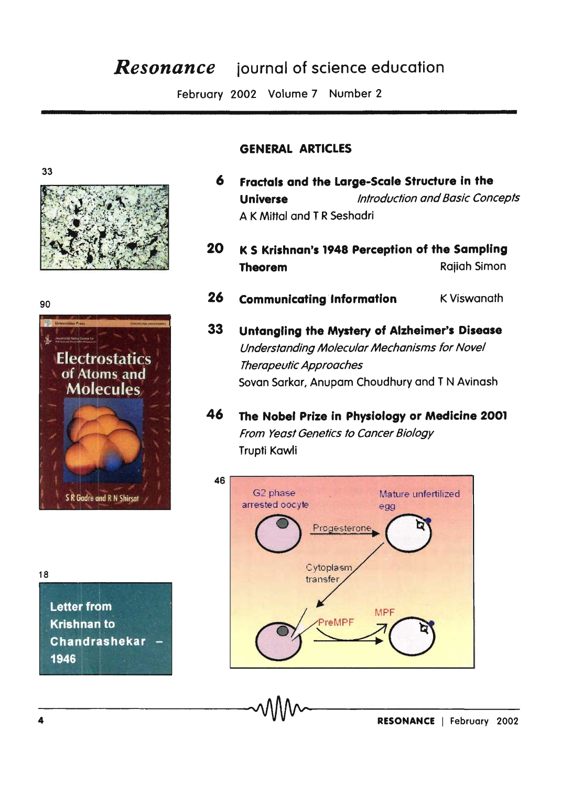## **Resonance** journal of science education

February 2002 Volume 7 Number 2

## **GENERAL ARTICLES**





6 Fractals and the Large-Scale Structure in the **Universe** Introduction and Basic Concepts A K Mittal and T R Seshadri

- 20 K S Krishnan's 1948 Perception of the Sampling **Raijah Simon Theorem**
- 26 **Communicating Information K Viswanath**
- 33 Untangling the Mystery of Alzheimer's Disease Understanding Molecular Mechanisms for Novel Therapeutic Approaches Sovan Sarkar, Anupam Choudhury and TN Avinash
- 46 The Nobel Prize in Physiology or Medicine 2001 From Yeast Genetics to Cancer Biology Trupti Kawli



**Letter from Krishnan to** Chandrashekar 1946

18